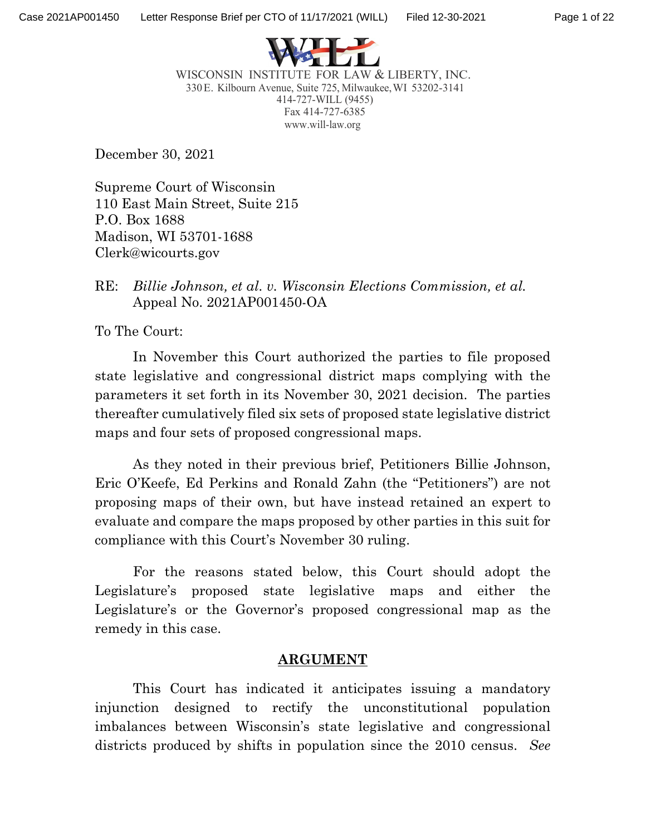

WISCONSIN INSTITUTE FOR LAW & LIBERTY, INC. 330E. Kilbourn Avenue, Suite 725, Milwaukee,WI 53202-3141 414-727-WILL (9455) Fax 414-727-6385 [www.will-law.org](http://www.will-law.org/)

December 30, 2021

Supreme Court of Wisconsin 110 East Main Street, Suite 215 P.O. Box 1688 Madison, WI 53701-1688 Clerk@wicourts.gov

## RE: *Billie Johnson, et al. v. Wisconsin Elections Commission, et al.* Appeal No. 2021AP001450-OA

To The Court:

In November this Court authorized the parties to file proposed state legislative and congressional district maps complying with the parameters it set forth in its November 30, 2021 decision. The parties thereafter cumulatively filed six sets of proposed state legislative district maps and four sets of proposed congressional maps.

As they noted in their previous brief, Petitioners Billie Johnson, Eric O'Keefe, Ed Perkins and Ronald Zahn (the "Petitioners") are not proposing maps of their own, but have instead retained an expert to evaluate and compare the maps proposed by other parties in this suit for compliance with this Court's November 30 ruling.

For the reasons stated below, this Court should adopt the Legislature's proposed state legislative maps and either the Legislature's or the Governor's proposed congressional map as the remedy in this case.

# **ARGUMENT**

This Court has indicated it anticipates issuing a mandatory injunction designed to rectify the unconstitutional population imbalances between Wisconsin's state legislative and congressional districts produced by shifts in population since the 2010 census. *See*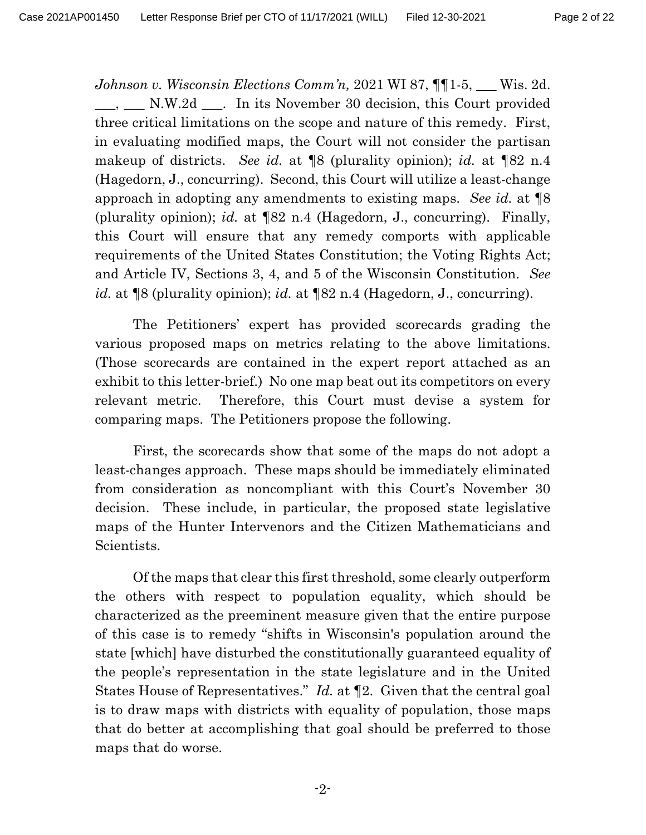*Johnson v. Wisconsin Elections Comm'n,* 2021 WI 87, ¶¶1-5, \_\_\_ Wis. 2d. N.W.2d <sub>\_\_\_</sub>. In its November 30 decision, this Court provided three critical limitations on the scope and nature of this remedy. First, in evaluating modified maps, the Court will not consider the partisan makeup of districts. *See id.* at ¶8 (plurality opinion); *id.* at ¶82 n.4 (Hagedorn, J., concurring). Second, this Court will utilize a least-change approach in adopting any amendments to existing maps. *See id.* at ¶8 (plurality opinion); *id.* at ¶82 n.4 (Hagedorn, J., concurring). Finally, this Court will ensure that any remedy comports with applicable requirements of the United States Constitution; the Voting Rights Act; and Article IV, Sections 3, 4, and 5 of the Wisconsin Constitution. *See id.* at ¶8 (plurality opinion); *id.* at ¶82 n.4 (Hagedorn, J., concurring).

The Petitioners' expert has provided scorecards grading the various proposed maps on metrics relating to the above limitations. (Those scorecards are contained in the expert report attached as an exhibit to this letter-brief.) No one map beat out its competitors on every relevant metric. Therefore, this Court must devise a system for comparing maps. The Petitioners propose the following.

First, the scorecards show that some of the maps do not adopt a least-changes approach. These maps should be immediately eliminated from consideration as noncompliant with this Court's November 30 decision. These include, in particular, the proposed state legislative maps of the Hunter Intervenors and the Citizen Mathematicians and Scientists.

Of the maps that clear this first threshold, some clearly outperform the others with respect to population equality, which should be characterized as the preeminent measure given that the entire purpose of this case is to remedy "shifts in Wisconsin's population around the state [which] have disturbed the constitutionally guaranteed equality of the people's representation in the state legislature and in the United States House of Representatives." *Id.* at ¶2. Given that the central goal is to draw maps with districts with equality of population, those maps that do better at accomplishing that goal should be preferred to those maps that do worse.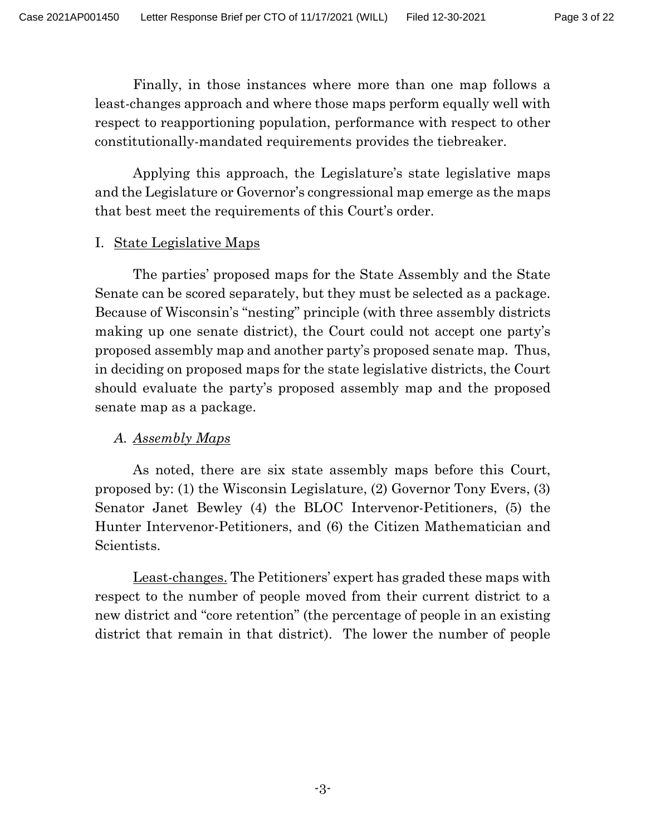Finally, in those instances where more than one map follows a least-changes approach and where those maps perform equally well with respect to reapportioning population, performance with respect to other constitutionally-mandated requirements provides the tiebreaker.

Applying this approach, the Legislature's state legislative maps and the Legislature or Governor's congressional map emerge as the maps that best meet the requirements of this Court's order.

## I. State Legislative Maps

The parties' proposed maps for the State Assembly and the State Senate can be scored separately, but they must be selected as a package. Because of Wisconsin's "nesting" principle (with three assembly districts making up one senate district), the Court could not accept one party's proposed assembly map and another party's proposed senate map. Thus, in deciding on proposed maps for the state legislative districts, the Court should evaluate the party's proposed assembly map and the proposed senate map as a package.

# *A. Assembly Maps*

As noted, there are six state assembly maps before this Court, proposed by: (1) the Wisconsin Legislature, (2) Governor Tony Evers, (3) Senator Janet Bewley (4) the BLOC Intervenor-Petitioners, (5) the Hunter Intervenor-Petitioners, and (6) the Citizen Mathematician and Scientists.

Least-changes. The Petitioners' expert has graded these maps with respect to the number of people moved from their current district to a new district and "core retention" (the percentage of people in an existing district that remain in that district). The lower the number of people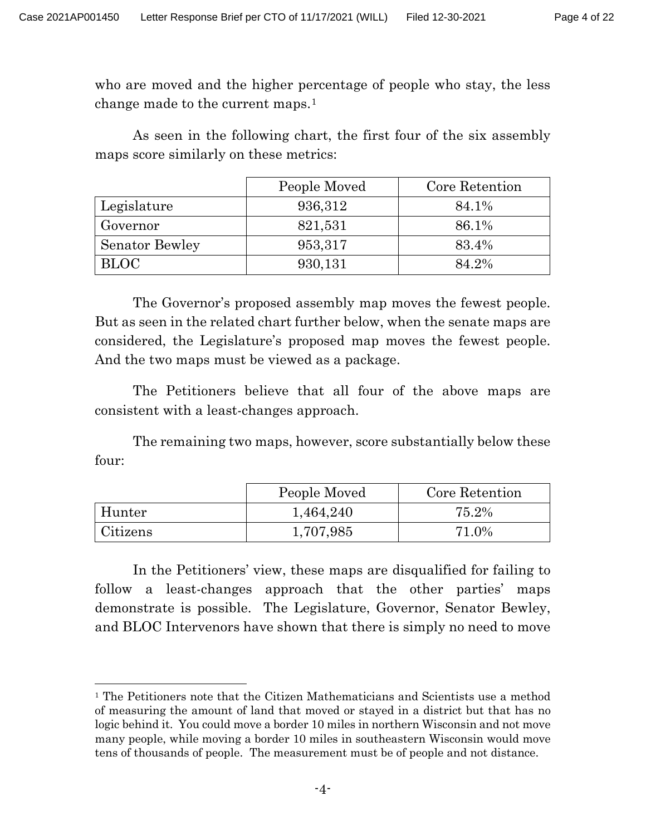who are moved and the higher percentage of people who stay, the less change made to the current maps.[1](#page-3-0)

As seen in the following chart, the first four of the six assembly maps score similarly on these metrics:

|                       | People Moved | Core Retention |
|-----------------------|--------------|----------------|
| Legislature           | 936,312      | 84.1%          |
| Governor              | 821,531      | 86.1%          |
| <b>Senator Bewley</b> | 953,317      | 83.4%          |
| <b>BLOC</b>           | 930,131      | 84.2%          |

The Governor's proposed assembly map moves the fewest people. But as seen in the related chart further below, when the senate maps are considered, the Legislature's proposed map moves the fewest people. And the two maps must be viewed as a package.

The Petitioners believe that all four of the above maps are consistent with a least-changes approach.

The remaining two maps, however, score substantially below these four:

|          | People Moved | Core Retention |
|----------|--------------|----------------|
| Hunter   | 1,464,240    | 75.2%          |
| Citizens | 1,707,985    | 71.0%          |

In the Petitioners' view, these maps are disqualified for failing to follow a least-changes approach that the other parties' maps demonstrate is possible. The Legislature, Governor, Senator Bewley, and BLOC Intervenors have shown that there is simply no need to move

<span id="page-3-0"></span><sup>&</sup>lt;sup>1</sup> The Petitioners note that the Citizen Mathematicians and Scientists use a method of measuring the amount of land that moved or stayed in a district but that has no logic behind it. You could move a border 10 miles in northern Wisconsin and not move many people, while moving a border 10 miles in southeastern Wisconsin would move tens of thousands of people. The measurement must be of people and not distance.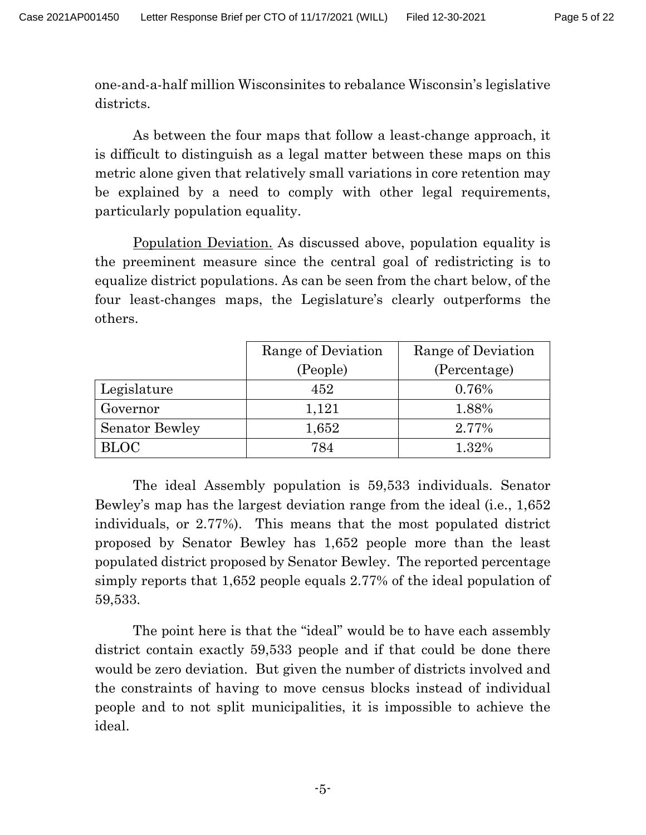one-and-a-half million Wisconsinites to rebalance Wisconsin's legislative districts.

As between the four maps that follow a least-change approach, it is difficult to distinguish as a legal matter between these maps on this metric alone given that relatively small variations in core retention may be explained by a need to comply with other legal requirements, particularly population equality.

Population Deviation. As discussed above, population equality is the preeminent measure since the central goal of redistricting is to equalize district populations. As can be seen from the chart below, of the four least-changes maps, the Legislature's clearly outperforms the others.

|                       | Range of Deviation | Range of Deviation |  |
|-----------------------|--------------------|--------------------|--|
|                       | (People)           | (Percentage)       |  |
| Legislature           | 452                | 0.76%              |  |
| Governor              | 1,121              | 1.88%              |  |
| <b>Senator Bewley</b> | 1,652              | 2.77%              |  |
| <b>BLOC</b>           | 784                | 1.32%              |  |

The ideal Assembly population is 59,533 individuals. Senator Bewley's map has the largest deviation range from the ideal (i.e., 1,652 individuals, or 2.77%). This means that the most populated district proposed by Senator Bewley has 1,652 people more than the least populated district proposed by Senator Bewley. The reported percentage simply reports that 1,652 people equals 2.77% of the ideal population of 59,533.

The point here is that the "ideal" would be to have each assembly district contain exactly 59,533 people and if that could be done there would be zero deviation. But given the number of districts involved and the constraints of having to move census blocks instead of individual people and to not split municipalities, it is impossible to achieve the ideal.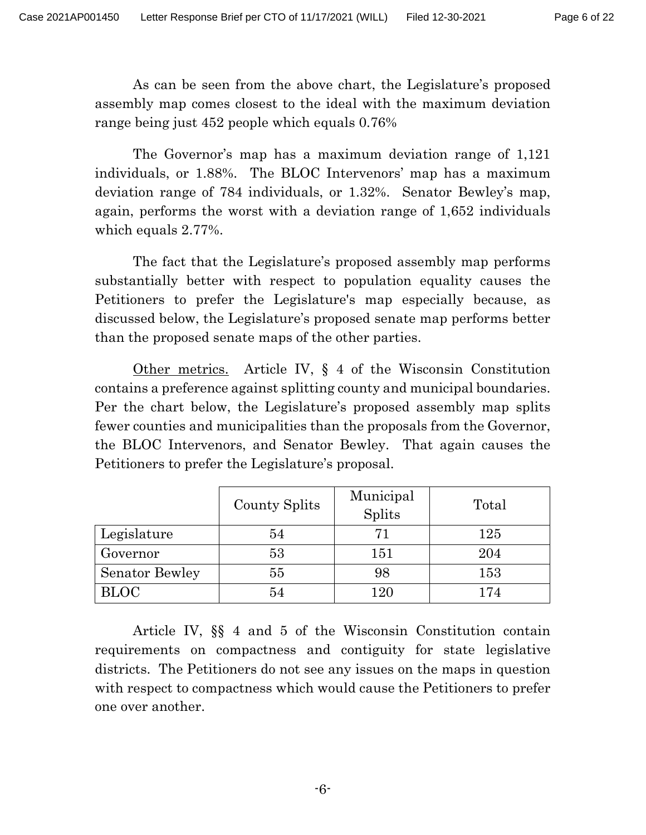As can be seen from the above chart, the Legislature's proposed assembly map comes closest to the ideal with the maximum deviation range being just 452 people which equals 0.76%

The Governor's map has a maximum deviation range of 1,121 individuals, or 1.88%. The BLOC Intervenors' map has a maximum deviation range of 784 individuals, or 1.32%. Senator Bewley's map, again, performs the worst with a deviation range of 1,652 individuals which equals 2.77%.

The fact that the Legislature's proposed assembly map performs substantially better with respect to population equality causes the Petitioners to prefer the Legislature's map especially because, as discussed below, the Legislature's proposed senate map performs better than the proposed senate maps of the other parties.

Other metrics. Article IV, § 4 of the Wisconsin Constitution contains a preference against splitting county and municipal boundaries. Per the chart below, the Legislature's proposed assembly map splits fewer counties and municipalities than the proposals from the Governor, the BLOC Intervenors, and Senator Bewley. That again causes the Petitioners to prefer the Legislature's proposal.

|                       | County Splits | Municipal<br>Splits | Total |
|-----------------------|---------------|---------------------|-------|
| Legislature           | 54            | 71                  | 125   |
| Governor              | 53            | 151                 | 204   |
| <b>Senator Bewley</b> | 55            | 98                  | 153   |
| <b>BLOC</b>           | 54            | 120                 | 174   |

Article IV, §§ 4 and 5 of the Wisconsin Constitution contain requirements on compactness and contiguity for state legislative districts. The Petitioners do not see any issues on the maps in question with respect to compactness which would cause the Petitioners to prefer one over another.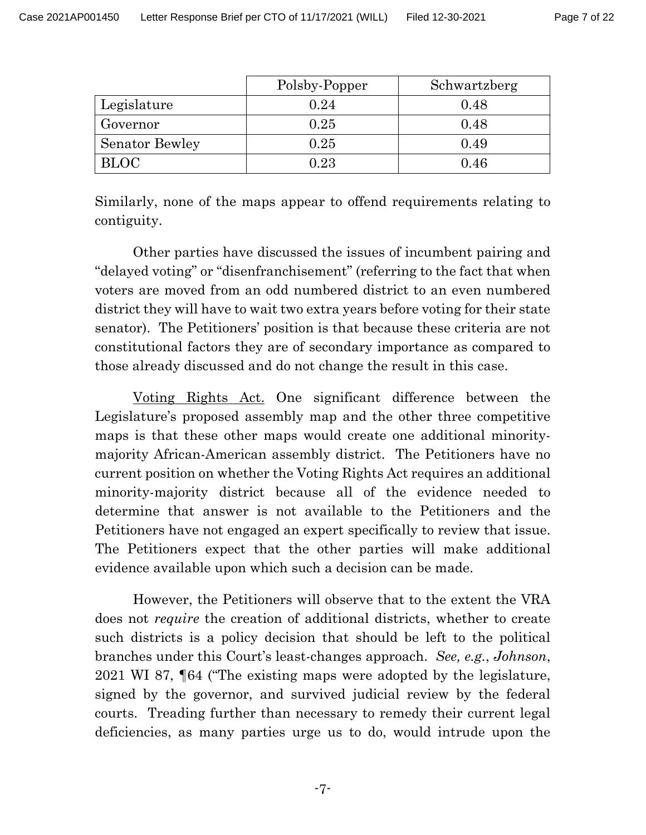|                       | Polsby-Popper | Schwartzberg |
|-----------------------|---------------|--------------|
| Legislature           | 0.24          | 0.48         |
| Governor              | 0.25          | 0.48         |
| <b>Senator Bewley</b> | 0.25          | 0.49         |
| <b>BLOC</b>           | 0.23          | 0.46         |

Similarly, none of the maps appear to offend requirements relating to contiguity.

Other parties have discussed the issues of incumbent pairing and "delayed voting" or "disenfranchisement" (referring to the fact that when voters are moved from an odd numbered district to an even numbered district they will have to wait two extra years before voting for their state senator). The Petitioners' position is that because these criteria are not constitutional factors they are of secondary importance as compared to those already discussed and do not change the result in this case.

Voting Rights Act. One significant difference between the Legislature's proposed assembly map and the other three competitive maps is that these other maps would create one additional minoritymajority African-American assembly district. The Petitioners have no current position on whether the Voting Rights Act requires an additional minority-majority district because all of the evidence needed to determine that answer is not available to the Petitioners and the Petitioners have not engaged an expert specifically to review that issue. The Petitioners expect that the other parties will make additional evidence available upon which such a decision can be made.

However, the Petitioners will observe that to the extent the VRA does not *require* the creation of additional districts, whether to create such districts is a policy decision that should be left to the political branches under this Court's least-changes approach. *See, e.g.*, *Johnson*, 2021 WI 87, ¶64 ("The existing maps were adopted by the legislature, signed by the governor, and survived judicial review by the federal courts. Treading further than necessary to remedy their current legal deficiencies, as many parties urge us to do, would intrude upon the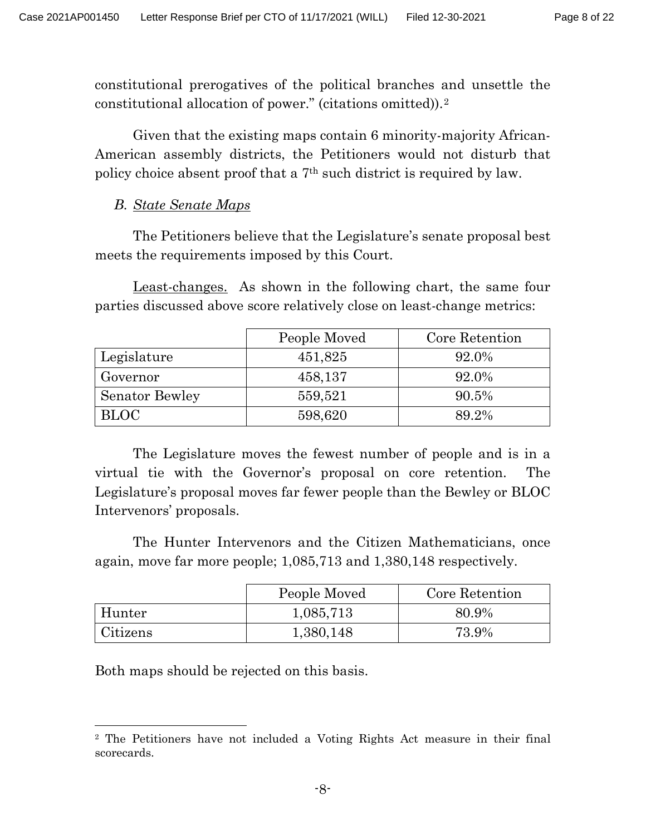constitutional prerogatives of the political branches and unsettle the constitutional allocation of power." (citations omitted)).[2](#page-7-0)

Given that the existing maps contain 6 minority-majority African-American assembly districts, the Petitioners would not disturb that policy choice absent proof that a 7th such district is required by law.

# *B. State Senate Maps*

The Petitioners believe that the Legislature's senate proposal best meets the requirements imposed by this Court.

Least-changes. As shown in the following chart, the same four parties discussed above score relatively close on least-change metrics:

|                       | People Moved | Core Retention |
|-----------------------|--------------|----------------|
| Legislature           | 451,825      | 92.0%          |
| Governor              | 458,137      | 92.0%          |
| <b>Senator Bewley</b> | 559,521      | 90.5%          |
| <b>BLOC</b>           | 598,620      | 89.2%          |

The Legislature moves the fewest number of people and is in a virtual tie with the Governor's proposal on core retention. The Legislature's proposal moves far fewer people than the Bewley or BLOC Intervenors' proposals.

The Hunter Intervenors and the Citizen Mathematicians, once again, move far more people; 1,085,713 and 1,380,148 respectively.

|          | People Moved | Core Retention |
|----------|--------------|----------------|
| Hunter   | 1,085,713    | 80.9%          |
| Citizens | 1,380,148    | 73.9%          |

Both maps should be rejected on this basis.

<span id="page-7-0"></span><sup>2</sup> The Petitioners have not included a Voting Rights Act measure in their final scorecards.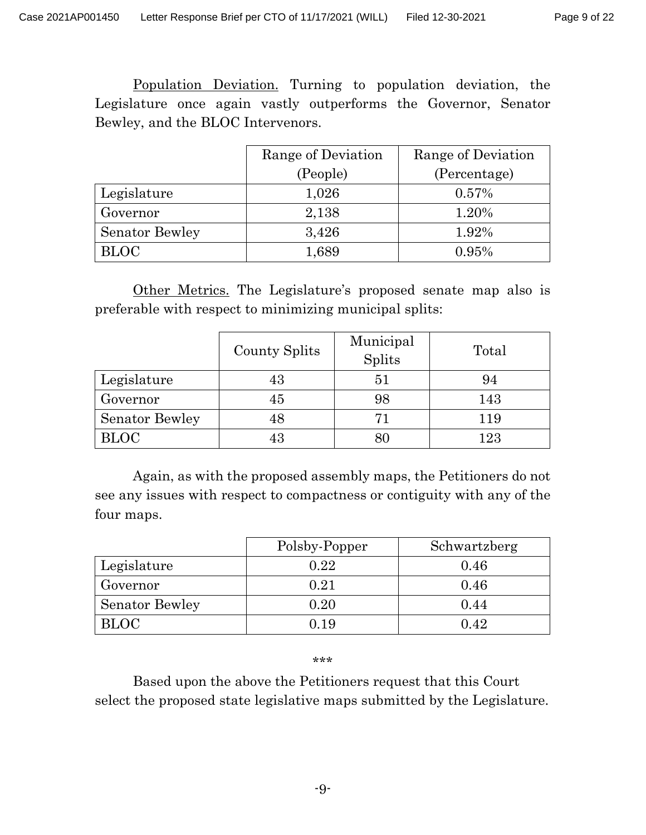Population Deviation. Turning to population deviation, the Legislature once again vastly outperforms the Governor, Senator Bewley, and the BLOC Intervenors.

|                       | Range of Deviation | Range of Deviation |
|-----------------------|--------------------|--------------------|
|                       | (People)           | (Percentage)       |
| Legislature           | 1,026              | 0.57%              |
| Governor              | 2,138              | 1.20%              |
| <b>Senator Bewley</b> | 3,426              | 1.92%              |
| <b>BLOC</b>           | 1,689              | 0.95%              |

Other Metrics. The Legislature's proposed senate map also is preferable with respect to minimizing municipal splits:

|                       | County Splits | Municipal<br>Splits | Total |
|-----------------------|---------------|---------------------|-------|
| Legislature           | 43            | 51                  | 94    |
| Governor              | 45            | 98                  | 143   |
| <b>Senator Bewley</b> | 48            | 71                  | 119   |
| <b>BLOC</b>           | 43            |                     | 123   |

Again, as with the proposed assembly maps, the Petitioners do not see any issues with respect to compactness or contiguity with any of the four maps.

|                       | Polsby-Popper | Schwartzberg |
|-----------------------|---------------|--------------|
| Legislature           | 0.22          | 0.46         |
| Governor              | $\rm 0.21$    | 0.46         |
| <b>Senator Bewley</b> | $0.20\,$      | 0.44         |
| <b>BLOC</b>           | 0.19          | 0.42         |

#### \*\*\*

Based upon the above the Petitioners request that this Court select the proposed state legislative maps submitted by the Legislature.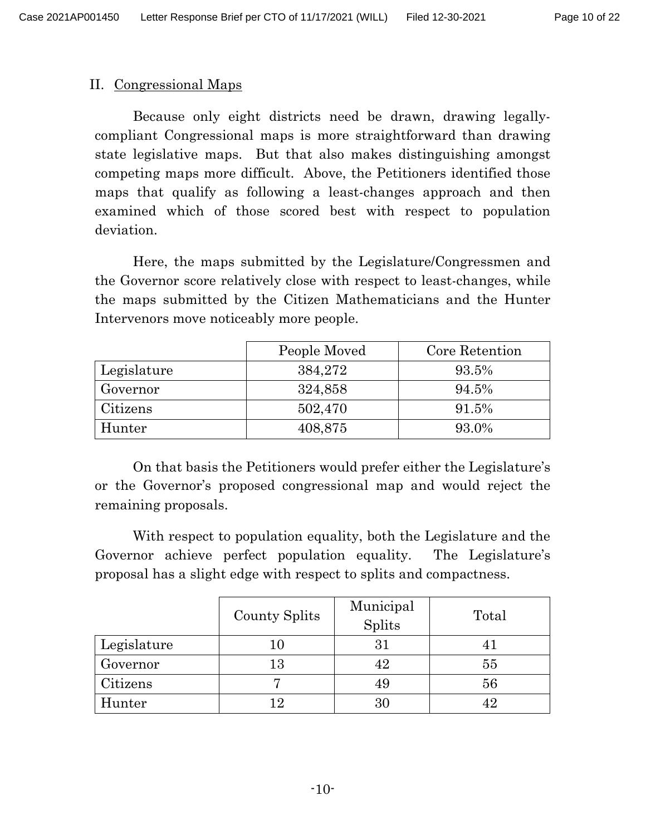## II. Congressional Maps

Because only eight districts need be drawn, drawing legallycompliant Congressional maps is more straightforward than drawing state legislative maps. But that also makes distinguishing amongst competing maps more difficult. Above, the Petitioners identified those maps that qualify as following a least-changes approach and then examined which of those scored best with respect to population deviation.

Here, the maps submitted by the Legislature/Congressmen and the Governor score relatively close with respect to least-changes, while the maps submitted by the Citizen Mathematicians and the Hunter Intervenors move noticeably more people.

|             | People Moved | Core Retention |
|-------------|--------------|----------------|
| Legislature | 384,272      | 93.5%          |
| Governor    | 324,858      | 94.5%          |
| Citizens    | 502,470      | 91.5%          |
| Hunter      | 408,875      | 93.0%          |

On that basis the Petitioners would prefer either the Legislature's or the Governor's proposed congressional map and would reject the remaining proposals.

With respect to population equality, both the Legislature and the Governor achieve perfect population equality. The Legislature's proposal has a slight edge with respect to splits and compactness.

|             | County Splits | Municipal<br>Splits | Total |
|-------------|---------------|---------------------|-------|
| Legislature | 10            | 31                  |       |
| Governor    | 13            | 42                  | 55    |
| Citizens    |               |                     | 56    |
| Hunter      | 12            |                     |       |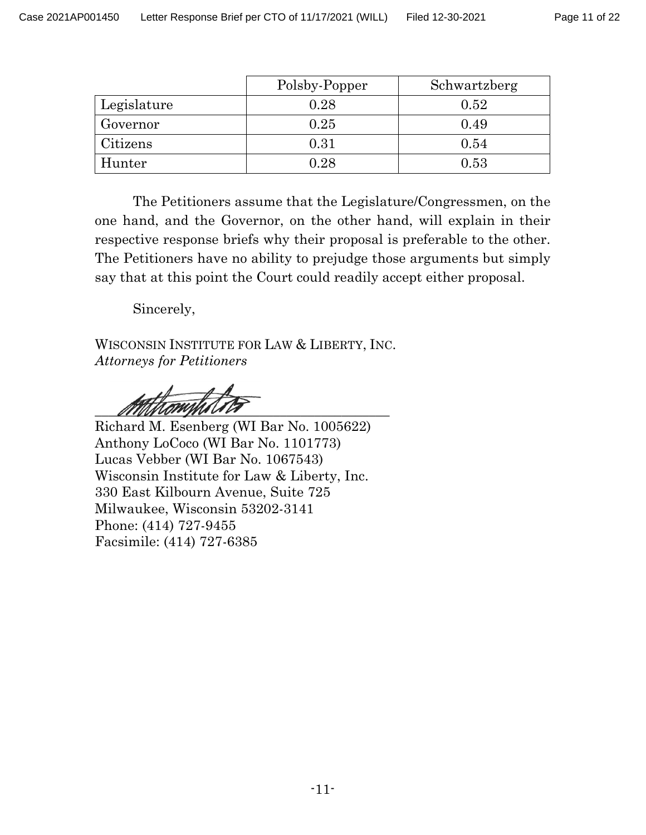|             | Polsby-Popper | Schwartzberg |
|-------------|---------------|--------------|
| Legislature | 0.28          | 0.52         |
| Governor    | 0.25          | 0.49         |
| Citizens    | 0.31          | 0.54         |
| Hunter      | 0.28          | 0.53         |

The Petitioners assume that the Legislature/Congressmen, on the one hand, and the Governor, on the other hand, will explain in their respective response briefs why their proposal is preferable to the other. The Petitioners have no ability to prejudge those arguments but simply say that at this point the Court could readily accept either proposal.

Sincerely,

WISCONSIN INSTITUTE FOR LAW & LIBERTY, INC. *Attorneys for Petitioners*

 $\frac{\partial \mathcal{L}}{\partial \mathcal{L}}$ 

Richard M. Esenberg (WI Bar No. 1005622) Anthony LoCoco (WI Bar No. 1101773) Lucas Vebber (WI Bar No. 1067543) Wisconsin Institute for Law & Liberty, Inc. 330 East Kilbourn Avenue, Suite 725 Milwaukee, Wisconsin 53202-3141 Phone: (414) 727-9455 Facsimile: (414) 727-6385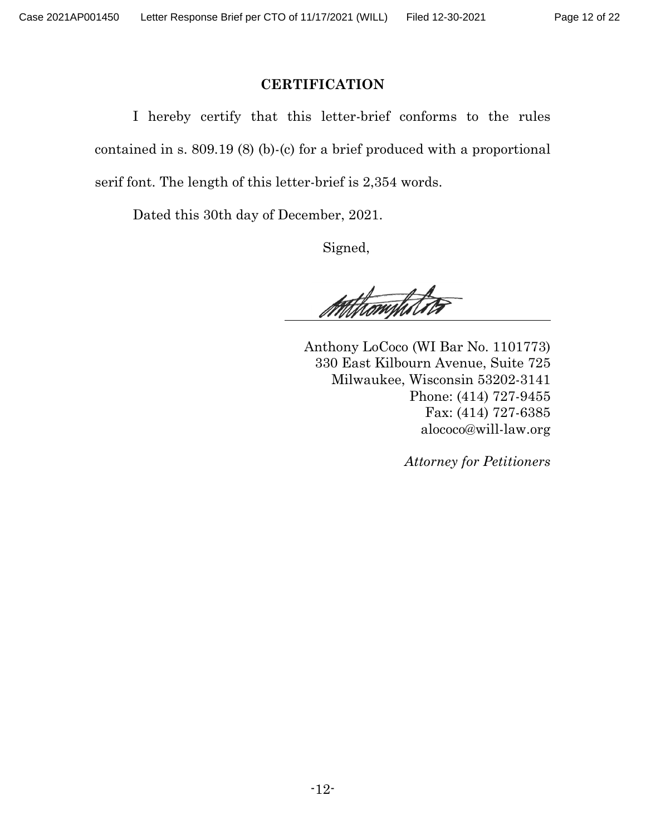#### Page 12 of 22

## **CERTIFICATION**

I hereby certify that this letter-brief conforms to the rules contained in s. 809.19 (8) (b)-(c) for a brief produced with a proportional serif font. The length of this letter-brief is 2,354 words.

Dated this 30th day of December, 2021.

Signed,

Mithomphile

 Anthony LoCoco (WI Bar No. 1101773) 330 East Kilbourn Avenue, Suite 725 Milwaukee, Wisconsin 53202-3141 Phone: (414) 727-9455 Fax: (414) 727-6385 alococo@will-law.org

*Attorney for Petitioners*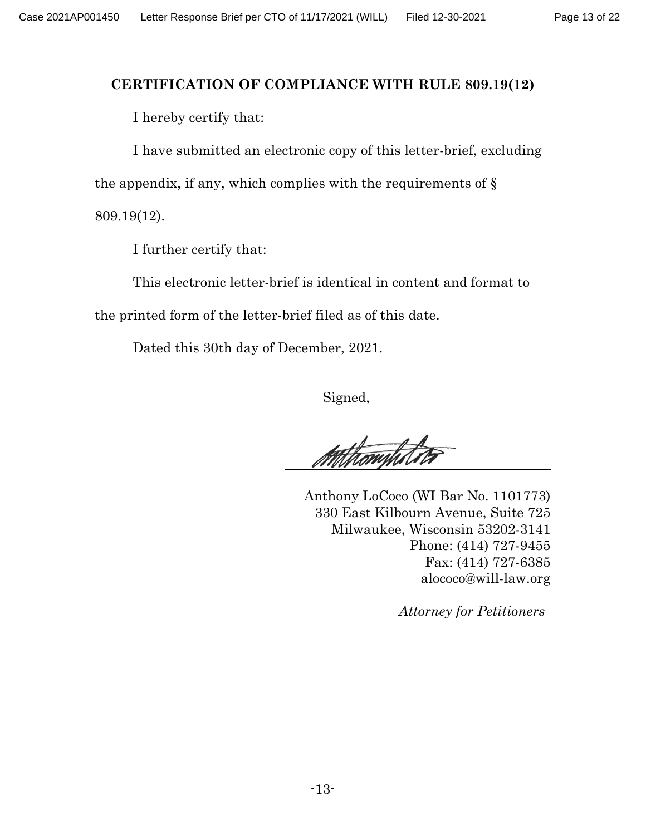## **CERTIFICATION OF COMPLIANCE WITH RULE 809.19(12)**

I hereby certify that:

I have submitted an electronic copy of this letter-brief, excluding the appendix, if any, which complies with the requirements of  $\S$ 809.19(12).

I further certify that:

This electronic letter-brief is identical in content and format to the printed form of the letter-brief filed as of this date.

Dated this 30th day of December, 2021.

Signed,

Athamptite

 Anthony LoCoco (WI Bar No. 1101773) 330 East Kilbourn Avenue, Suite 725 Milwaukee, Wisconsin 53202-3141 Phone: (414) 727-9455 Fax: (414) 727-6385 alococo@will-law.org

*Attorney for Petitioners*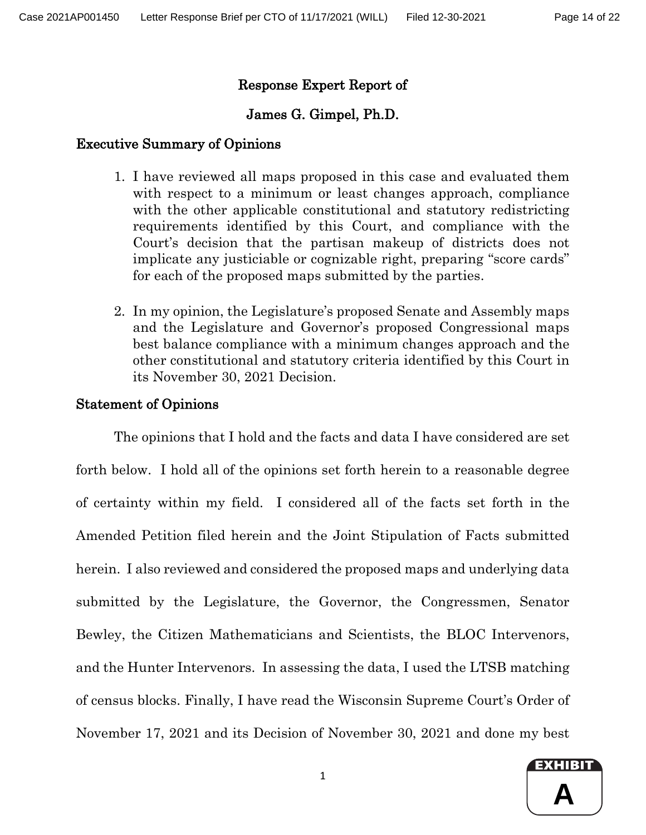## Response Expert Report of

## James G. Gimpel, Ph.D.

## Executive Summary of Opinions

- 1. I have reviewed all maps proposed in this case and evaluated them with respect to a minimum or least changes approach, compliance with the other applicable constitutional and statutory redistricting requirements identified by this Court, and compliance with the Court's decision that the partisan makeup of districts does not implicate any justiciable or cognizable right, preparing "score cards" for each of the proposed maps submitted by the parties.
- 2. In my opinion, the Legislature's proposed Senate and Assembly maps and the Legislature and Governor's proposed Congressional maps best balance compliance with a minimum changes approach and the other constitutional and statutory criteria identified by this Court in its November 30, 2021 Decision.

## Statement of Opinions

The opinions that I hold and the facts and data I have considered are set forth below. I hold all of the opinions set forth herein to a reasonable degree of certainty within my field. I considered all of the facts set forth in the Amended Petition filed herein and the Joint Stipulation of Facts submitted herein. I also reviewed and considered the proposed maps and underlying data submitted by the Legislature, the Governor, the Congressmen, Senator Bewley, the Citizen Mathematicians and Scientists, the BLOC Intervenors, and the Hunter Intervenors. In assessing the data, I used the LTSB matching of census blocks. Finally, I have read the Wisconsin Supreme Court's Order of November 17, 2021 and its Decision of November 30, 2021 and done my best

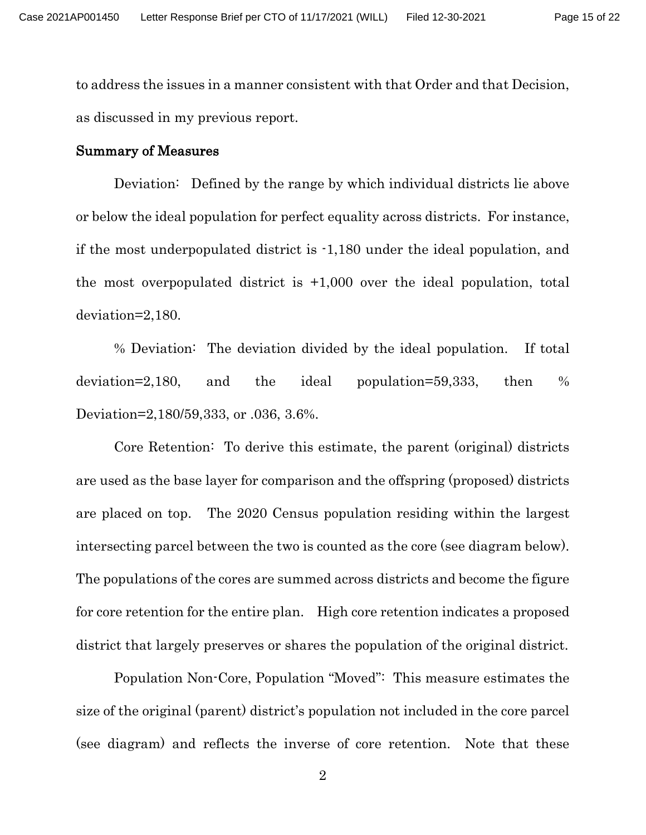to address the issues in a manner consistent with that Order and that Decision, as discussed in my previous report.

#### Summary of Measures

Deviation: Defined by the range by which individual districts lie above or below the ideal population for perfect equality across districts. For instance, if the most underpopulated district is -1,180 under the ideal population, and the most overpopulated district is +1,000 over the ideal population, total deviation=2,180.

% Deviation: The deviation divided by the ideal population. If total deviation=2,180, and the ideal population=59,333, then % Deviation=2,180/59,333, or .036, 3.6%.

Core Retention: To derive this estimate, the parent (original) districts are used as the base layer for comparison and the offspring (proposed) districts are placed on top. The 2020 Census population residing within the largest intersecting parcel between the two is counted as the core (see diagram below). The populations of the cores are summed across districts and become the figure for core retention for the entire plan. High core retention indicates a proposed district that largely preserves or shares the population of the original district.

Population Non-Core, Population "Moved": This measure estimates the size of the original (parent) district's population not included in the core parcel (see diagram) and reflects the inverse of core retention. Note that these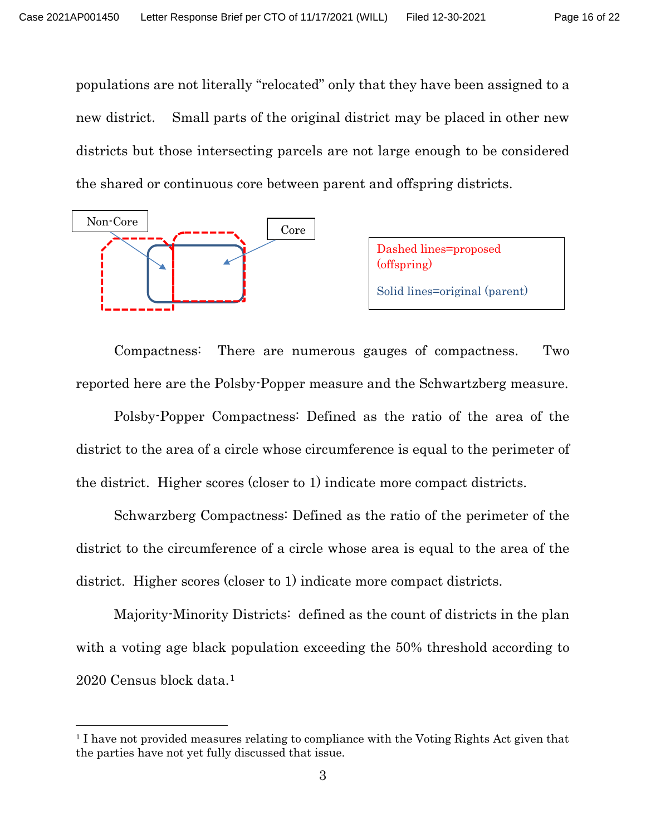populations are not literally "relocated" only that they have been assigned to a new district. Small parts of the original district may be placed in other new districts but those intersecting parcels are not large enough to be considered the shared or continuous core between parent and offspring districts.



Compactness: There are numerous gauges of compactness. Two reported here are the Polsby-Popper measure and the Schwartzberg measure.

Polsby-Popper Compactness: Defined as the ratio of the area of the district to the area of a circle whose circumference is equal to the perimeter of the district. Higher scores (closer to 1) indicate more compact districts.

Schwarzberg Compactness: Defined as the ratio of the perimeter of the district to the circumference of a circle whose area is equal to the area of the district. Higher scores (closer to 1) indicate more compact districts.

Majority-Minority Districts: defined as the count of districts in the plan with a voting age black population exceeding the 50% threshold according to 2020 Census block data.[1](#page-15-0) 

<span id="page-15-0"></span><sup>1</sup> I have not provided measures relating to compliance with the Voting Rights Act given that the parties have not yet fully discussed that issue.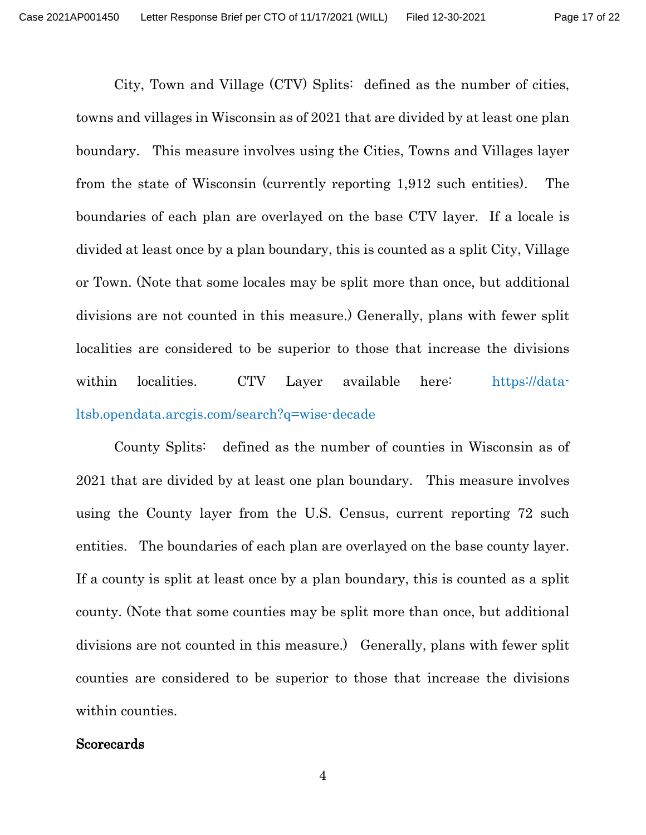City, Town and Village (CTV) Splits: defined as the number of cities, towns and villages in Wisconsin as of 2021 that are divided by at least one plan boundary. This measure involves using the Cities, Towns and Villages layer from the state of Wisconsin (currently reporting 1,912 such entities). The boundaries of each plan are overlayed on the base CTV layer. If a locale is divided at least once by a plan boundary, this is counted as a split City, Village or Town. (Note that some locales may be split more than once, but additional divisions are not counted in this measure.) Generally, plans with fewer split localities are considered to be superior to those that increase the divisions within localities. CTV Layer available here: https://dataltsb.opendata.arcgis.com/search?q=wise-decade

County Splits: defined as the number of counties in Wisconsin as of 2021 that are divided by at least one plan boundary. This measure involves using the County layer from the U.S. Census, current reporting 72 such entities. The boundaries of each plan are overlayed on the base county layer. If a county is split at least once by a plan boundary, this is counted as a split county. (Note that some counties may be split more than once, but additional divisions are not counted in this measure.) Generally, plans with fewer split counties are considered to be superior to those that increase the divisions within counties.

### **Scorecards**

4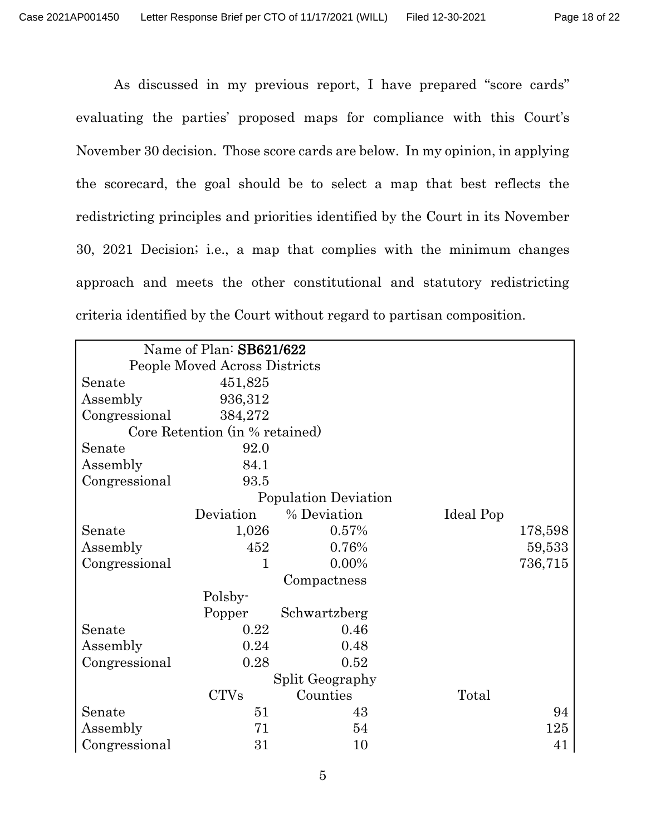As discussed in my previous report, I have prepared "score cards" evaluating the parties' proposed maps for compliance with this Court's November 30 decision. Those score cards are below. In my opinion, in applying the scorecard, the goal should be to select a map that best reflects the redistricting principles and priorities identified by the Court in its November 30, 2021 Decision; i.e., a map that complies with the minimum changes approach and meets the other constitutional and statutory redistricting criteria identified by the Court without regard to partisan composition.

|               | Name of Plan: SB621/622        |                      |           |         |
|---------------|--------------------------------|----------------------|-----------|---------|
|               | People Moved Across Districts  |                      |           |         |
| Senate        | 451,825                        |                      |           |         |
| Assembly      | 936,312                        |                      |           |         |
| Congressional | 384,272                        |                      |           |         |
|               | Core Retention (in % retained) |                      |           |         |
| Senate        | 92.0                           |                      |           |         |
| Assembly      | 84.1                           |                      |           |         |
| Congressional | 93.5                           |                      |           |         |
|               |                                | Population Deviation |           |         |
|               | Deviation                      | % Deviation          | Ideal Pop |         |
| Senate        | 1,026                          | 0.57%                |           | 178,598 |
| Assembly      | 452                            | 0.76%                |           | 59,533  |
| Congressional | 1                              | $0.00\%$             |           | 736,715 |
|               |                                | Compactness          |           |         |
|               | Polsby-                        |                      |           |         |
|               | Popper                         | Schwartzberg         |           |         |
| Senate        | 0.22                           | 0.46                 |           |         |
| Assembly      | 0.24                           | 0.48                 |           |         |
| Congressional | 0.28                           | 0.52                 |           |         |
|               |                                | Split Geography      |           |         |
|               | <b>CTVs</b>                    | Counties             | Total     |         |
| Senate        | 51                             | 43                   |           | 94      |
| Assembly      | 71                             | 54                   |           | 125     |
| Congressional | 31                             | 10                   |           | 41      |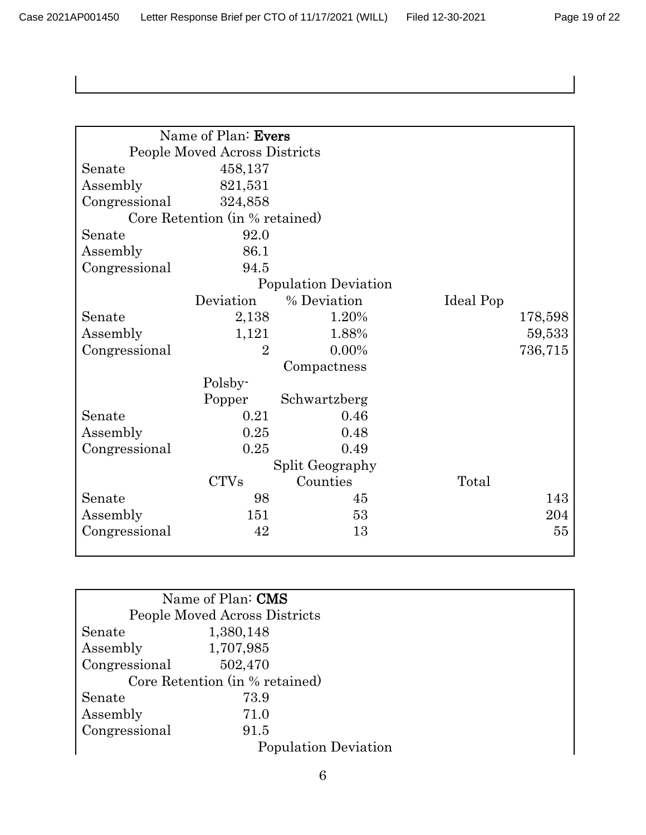| Page 19 of 22 |  |  |  |
|---------------|--|--|--|
|---------------|--|--|--|

|               | Name of Plan: Evers            |                      |           |         |
|---------------|--------------------------------|----------------------|-----------|---------|
|               | People Moved Across Districts  |                      |           |         |
| Senate        | 458,137                        |                      |           |         |
| Assembly      | 821,531                        |                      |           |         |
| Congressional | 324,858                        |                      |           |         |
|               | Core Retention (in % retained) |                      |           |         |
| Senate        | 92.0                           |                      |           |         |
| Assembly      | 86.1                           |                      |           |         |
| Congressional | 94.5                           |                      |           |         |
|               |                                | Population Deviation |           |         |
|               | Deviation                      | % Deviation          | Ideal Pop |         |
| Senate        | 2,138                          | 1.20%                |           | 178,598 |
| Assembly      | 1,121                          | 1.88%                |           | 59,533  |
| Congressional | $\overline{2}$                 | $0.00\%$             |           | 736,715 |
|               |                                | Compactness          |           |         |
|               | Polsby-                        |                      |           |         |
|               | Popper                         | Schwartzberg         |           |         |
| Senate        | 0.21                           | 0.46                 |           |         |
| Assembly      | 0.25                           | 0.48                 |           |         |
| Congressional | 0.25                           | 0.49                 |           |         |
|               |                                | Split Geography      |           |         |
|               | <b>CTVs</b>                    | Counties             | Total     |         |
| Senate        | 98                             | 45                   |           | 143     |
| Assembly      | 151                            | 53                   |           | 204     |
| Congressional | 42                             | 13                   |           | 55      |
|               |                                |                      |           |         |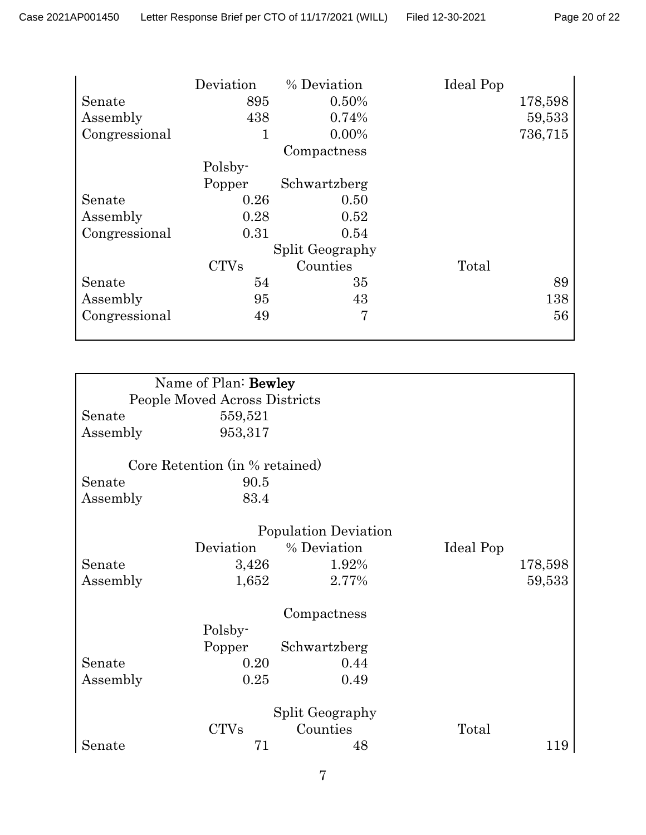|               | Deviation   | % Deviation            | Ideal Pop |         |
|---------------|-------------|------------------------|-----------|---------|
| Senate        | 895         | 0.50%                  |           | 178,598 |
| Assembly      | 438         | 0.74%                  |           | 59,533  |
| Congressional | 1           | $0.00\%$               |           | 736,715 |
|               |             | Compactness            |           |         |
|               | Polsby-     |                        |           |         |
|               | Popper      | Schwartzberg           |           |         |
| Senate        | 0.26        | 0.50                   |           |         |
| Assembly      | 0.28        | 0.52                   |           |         |
| Congressional | 0.31        | 0.54                   |           |         |
|               |             | <b>Split Geography</b> |           |         |
|               | <b>CTVs</b> | Counties               | Total     |         |
| Senate        | 54          | 35                     |           | 89      |
| Assembly      | 95          | 43                     |           | 138     |
| Congressional | 49          | 7                      |           | 56      |
|               |             |                        |           |         |

|          | Name of Plan: Bewley           |                      |           |         |
|----------|--------------------------------|----------------------|-----------|---------|
|          | People Moved Across Districts  |                      |           |         |
| Senate   | 559,521                        |                      |           |         |
| Assembly | 953,317                        |                      |           |         |
|          | Core Retention (in % retained) |                      |           |         |
| Senate   | 90.5                           |                      |           |         |
| Assembly | 83.4                           |                      |           |         |
|          |                                | Population Deviation |           |         |
|          | Deviation                      | % Deviation          | Ideal Pop |         |
| Senate   | 3,426                          | 1.92%                |           | 178,598 |
| Assembly | 1,652                          | 2.77%                |           | 59,533  |
|          |                                | Compactness          |           |         |
|          | Polsby-                        |                      |           |         |
|          | Popper                         | Schwartzberg         |           |         |
| Senate   | 0.20                           | 0.44                 |           |         |
| Assembly | 0.25                           | 0.49                 |           |         |
|          |                                | Split Geography      |           |         |
|          | <b>CTVs</b>                    | Counties             | Total     |         |
| Senate   | 71                             | 48                   |           | 119     |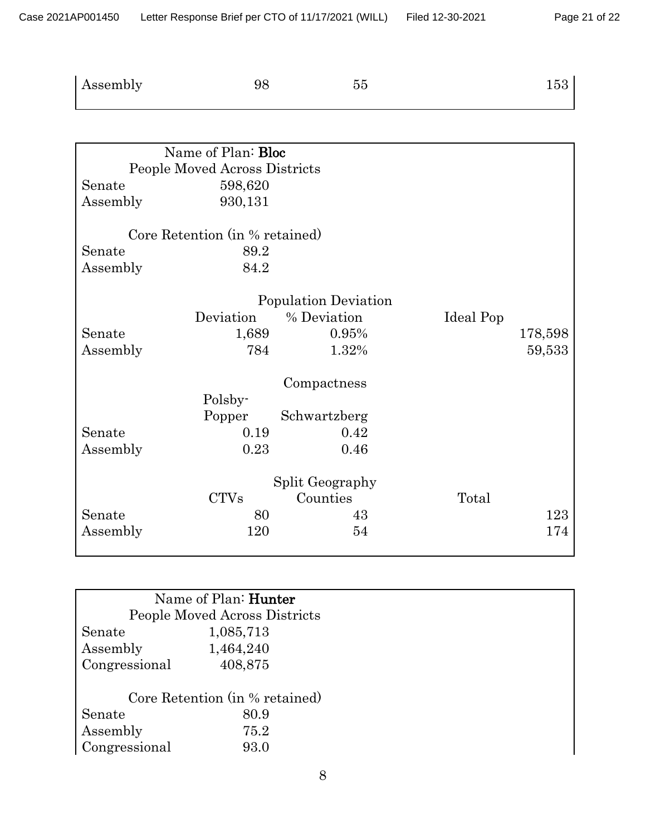## Page 21 of 22

| Assembly | 98 | $55\,$ | 153 |
|----------|----|--------|-----|
|          |    |        |     |

|          | Name of Plan: Bloc             |                      |           |         |
|----------|--------------------------------|----------------------|-----------|---------|
|          | People Moved Across Districts  |                      |           |         |
| Senate   | 598,620                        |                      |           |         |
| Assembly | 930,131                        |                      |           |         |
|          | Core Retention (in % retained) |                      |           |         |
| Senate   | 89.2                           |                      |           |         |
| Assembly | 84.2                           |                      |           |         |
|          |                                |                      |           |         |
|          |                                | Population Deviation |           |         |
|          | Deviation                      | % Deviation          | Ideal Pop |         |
| Senate   | 1,689                          | 0.95%                |           | 178,598 |
| Assembly | 784                            | 1.32%                |           | 59,533  |
|          |                                | Compactness          |           |         |
|          | Polsby-                        |                      |           |         |
|          | Popper                         | Schwartzberg         |           |         |
| Senate   | 0.19                           | 0.42                 |           |         |
| Assembly | 0.23                           | 0.46                 |           |         |
|          |                                |                      |           |         |
|          |                                | Split Geography      |           |         |
|          | <b>CTVs</b>                    | Counties             | Total     |         |
| Senate   | 80                             | 43                   |           | 123     |
| Assembly | 120                            | 54                   |           | 174     |
|          |                                |                      |           |         |

| Name of Plan: <b>Hunter</b>    |
|--------------------------------|
| People Moved Across Districts  |
| 1,085,713                      |
| 1,464,240                      |
| 408,875                        |
|                                |
| Core Retention (in % retained) |
| 80.9                           |
| 75.2                           |
| 93.0                           |
|                                |